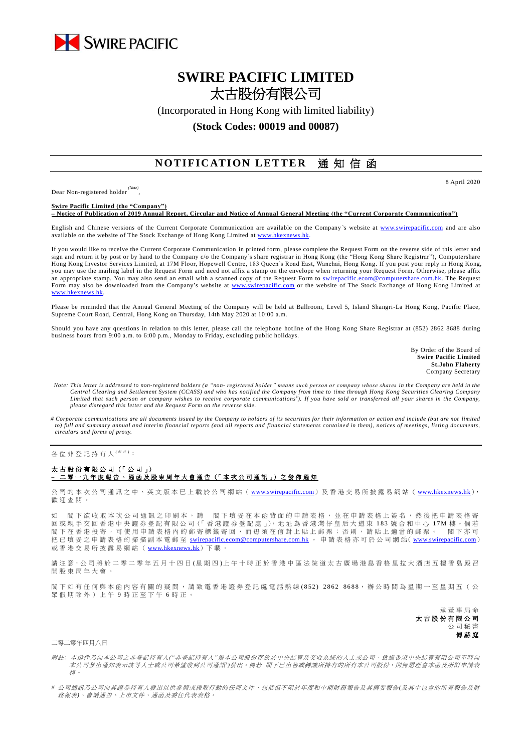

# **SWIRE PACIFIC LIMITED** 太古股份有限公司

(Incorporated in Hong Kong with limited liability)

### **(Stock Codes: 00019 and 00087)**

## **NOTIFICATION LETTER** 通知信函

Dear Non-registered holder *(Note)* , 8 April 2020

**Swire Pacific Limited (the "Company") – Notice of Publication of 2019 Annual Report, Circular and Notice of Annual General Meeting (the "Current Corporate Communication")**

English and Chinese versions of the Current Corporate Communication are available on the Company's website at [www.swirepacific.com](http://www.swirepacific.com/) and are also available on the website of The Stock Exchange of Hong Kong Limited at www.hkexnew

If you would like to receive the Current Corporate Communication in printed form, please complete the Request Form on the reverse side of this letter and sign and return it by post or by hand to the Company c/o the Company's share registrar in Hong Kong (the "Hong Kong Share Registrar"), Computershare Hong Kong Investor Services Limited, at 17M Floor, Hopewell Centre, 183 Queen's Road East, Wanchai, Hong Kong. If you post your reply in Hong Kong, you may use the mailing label in the Request Form and need not affix a stamp on the envelope when returning your Request Form. Otherwise, please affix an appropriate stamp. You may also send an email with a scanned copy of the Request Form to [swirepacific.ecom@computershare.com.hk.](mailto:swirepacific.ecom@computershare.com.hk) The Request Form may also be downloaded from the Company's website at [www.swirepacific.com](http://www.swirepacific.com/) or the website of The Stock Exchange of Hong Kong Limited at [www.hkexnews.hk.](http://www.hkexnews.hk/)

Please be reminded that the Annual General Meeting of the Company will be held at Ballroom, Level 5, Island Shangri-La Hong Kong, Pacific Place, Supreme Court Road, Central, Hong Kong on Thursday, 14th May 2020 at 10:00 a.m.

Should you have any questions in relation to this letter, please call the telephone hotline of the Hong Kong Share Registrar at (852) 2862 8688 during business hours from 9:00 a.m. to 6:00 p.m., Monday to Friday, excluding public holidays.

> By Order of the Board of **Swire Pacific Limited St.John Flaherty** Company Secretary

- *Note: This letter is addressed to non-registered holders (a "non- registered holder" means such person or company whose shares in the Company are held in the*  Central Clearing and Settlement System (CCASS) and who has notified the Company from time to time through Hong Kong Securities Clearing Company<br>Limited that such person or company wishes to receive corporate communications *please disregard this letter and the Request Form on the reverse side.*
- *# Corporate communications are all documents issued by the Company to holders of its securities for their information or action and include (but are not limited to) full and summary annual and interim financial reports (and all reports and financial statements contained in them), notices of meetings, listing documents, circulars and forms of proxy.*

各位非登記持有人<sup>( ##)</sup>:

### 太古股份有限公司 (「公司」) **–** 二零一 九 年度報告 、通函 及 股 東 周 年 大 會 通 告 (「 本 次 公 司 通 訊 」) 之 發 佈 通 知

公司的本次公司通訊之中、英文版本已上載於公司網站 ([www.swirepacific.com](http://www.swirepacific.com/)) 及香港交易所披露易網站 ([www.hkexnews.hk](http://www.hkexnews.hk/)), 歡 迎 查閱。

如 閣下欲收取本次公司通訊之印刷本,請 閣下填妥在本函背面的申請表格,並在申請表格上簽名,然後把申請表格寄 回 或親手交回 香 港 中 央 證 券 登 記 有 限 公 司(「 香 港 證 券 登 記 處 」), 地 址 為 香 港 灣 仔 皇 后 大 道 東 1 8 3 號合和中心 1 7 M 樓 。 倘 若 閣下 在 香 港 投 寄 , 可 使 用 申 請 表 格 内 的 郵 寄 標 籤 寄 回 , 而 毋 須 在 信 封 上 貼 上 郵 票 ; 否 則 , 請 貼 上 適 當 的 郵 票 。 閣 下 亦 可 把已填妥之申請表格的掃描副本電郵至 [swirepacific.ecom@computershare.com.hk](mailto:swirepacific.ecom@computershare.com.hk) 。 申請表格亦可於公司網站( [www.swirepacific.com](http://www.swirepacific.com/)) 或香港交易所披露易網站 ( [www.hkexnews.hk](http://www.hkexnews.hk/)) 下載

請注意,公司將於二零二零年五月十四日(星期四)上午十時正於香港中區法院道太古廣場港島香格里拉大酒店五樓香島殿召 開股東周年大會

閣下如有任何與本函內容有關的疑問,請致電香港證券登記處電話熱線 (852) 2862 8688,辦公時間為星期一至星期五 ( 公 眾假期除外)上午 9 時正至下午 6 時正。

> 承董事 局 命 太古股份有限公司 公司秘書 傅赫庭

### 二零二零年四月八日

- 附註*:* 本函件乃向本公司之非登記持有人*("*非登記持有人*"*指本公司股份存放於中央結算及交收系統的人士或公司,透過香港中央結算有限公司不時向 本公司發出通知表示該等人士或公司希望收到公司通訊")發出。倘若 閣下已出售或轉讓所持有的所有本公司股份,則無需理會本函及所附申請表 格。
- *#* 公司通訊乃公司向其證券持有人發出以供參照或採取行動的任何文件,包括但不限於年度和中期財務報告及其摘要報告*(*及其中包含的所有報告及財 務報表*)*、會議通告、上市文件、通函及委任代表表格。